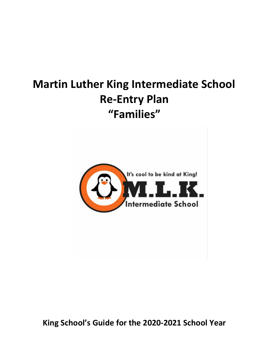# **Martin Luther King Intermediate School Re-Entry Plan "Families"**

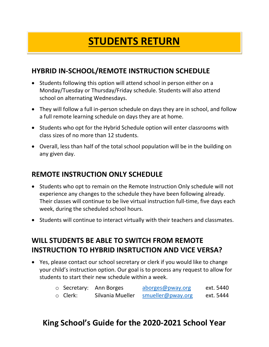# **STUDENTS RETURN**

# **HYBRID IN-SCHOOL/REMOTE INSTRUCTION SCHEDULE**

- Students following this option will attend school in person either on a Monday/Tuesday or Thursday/Friday schedule. Students will also attend school on alternating Wednesdays.
- They will follow a full in-person schedule on days they are in school, and follow a full remote learning schedule on days they are at home.
- Students who opt for the Hybrid Schedule option will enter classrooms with class sizes of no more than 12 students.
- Overall, less than half of the total school population will be in the building on any given day.

#### **REMOTE INSTRUCTION ONLY SCHEDULE**

- Students who opt to remain on the Remote Instruction Only schedule will not experience any changes to the schedule they have been following already. Their classes will continue to be live virtual instruction full-time, five days each week, during the scheduled school hours.
- Students will continue to interact virtually with their teachers and classmates.

# **WILL STUDENTS BE ABLE TO SWITCH FROM REMOTE INSTRUCTION TO HYBRID INSRTUCTION AND VICE VERSA?**

 Yes, please contact our school secretary or clerk if you would like to change your child's instruction option. Our goal is to process any request to allow for students to start their new schedule within a week.

|                | $\circ$ Secretary: Ann Borges | aborges@pway.org  | ext. 5440 |
|----------------|-------------------------------|-------------------|-----------|
| $\circ$ Clerk: | Silvania Mueller              | smueller@pway.org | ext. 5444 |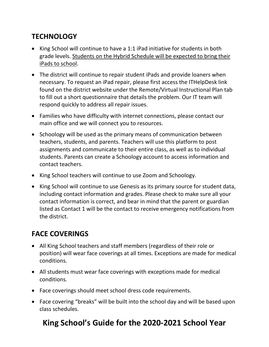# **TECHNOLOGY**

- King School will continue to have a 1:1 iPad initiative for students in both grade levels. Students on the Hybrid Schedule will be expected to bring their iPads to school.
- The district will continue to repair student iPads and provide loaners when necessary. To request an iPad repair, please first access the ITHelpDesk link found on the district website under the Remote/Virtual Instructional Plan tab to fill out a short questionnaire that details the problem. Our IT team will respond quickly to address all repair issues.
- Families who have difficulty with internet connections, please contact our main office and we will connect you to resources.
- Schoology will be used as the primary means of communication between teachers, students, and parents. Teachers will use this platform to post assignments and communicate to their entire class, as well as to individual students. Parents can create a Schoology account to access information and contact teachers.
- King School teachers will continue to use Zoom and Schoology.
- King School will continue to use Genesis as its primary source for student data, including contact information and grades. Please check to make sure all your contact information is correct, and bear in mind that the parent or guardian listed as Contact 1 will be the contact to receive emergency notifications from the district.

# **FACE COVERINGS**

- All King School teachers and staff members (regardless of their role or position) will wear face coverings at all times. Exceptions are made for medical conditions.
- All students must wear face coverings with exceptions made for medical conditions.
- Face coverings should meet school dress code requirements.
- Face covering "breaks" will be built into the school day and will be based upon class schedules.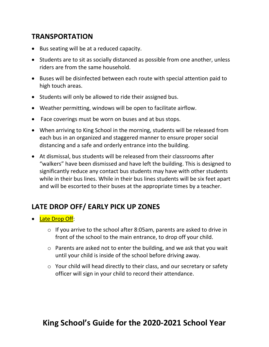#### **TRANSPORTATION**

- Bus seating will be at a reduced capacity.
- Students are to sit as socially distanced as possible from one another, unless riders are from the same household.
- Buses will be disinfected between each route with special attention paid to high touch areas.
- Students will only be allowed to ride their assigned bus.
- Weather permitting, windows will be open to facilitate airflow.
- Face coverings must be worn on buses and at bus stops.
- When arriving to King School in the morning, students will be released from each bus in an organized and staggered manner to ensure proper social distancing and a safe and orderly entrance into the building.
- At dismissal, bus students will be released from their classrooms after "walkers" have been dismissed and have left the building. This is designed to significantly reduce any contact bus students may have with other students while in their bus lines. While in their bus lines students will be six feet apart and will be escorted to their buses at the appropriate times by a teacher.

#### **LATE DROP OFF/ EARLY PICK UP ZONES**

- Late Drop Off:
	- o If you arrive to the school after 8:05am, parents are asked to drive in front of the school to the main entrance, to drop off your child.
	- o Parents are asked not to enter the building, and we ask that you wait until your child is inside of the school before driving away.
	- o Your child will head directly to their class, and our secretary or safety officer will sign in your child to record their attendance.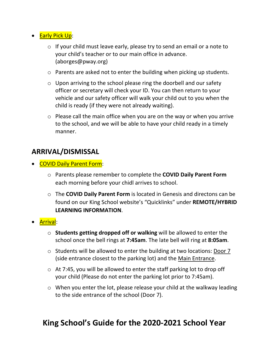- **•** Early Pick Up:
	- $\circ$  If your child must leave early, please try to send an email or a note to your child's teacher or to our main office in advance. (aborges@pway.org)
	- o Parents are asked not to enter the building when picking up students.
	- $\circ$  Upon arriving to the school please ring the doorbell and our safety officer or secretary will check your ID. You can then return to your vehicle and our safety officer will walk your child out to you when the child is ready (if they were not already waiting).
	- o Please call the main office when you are on the way or when you arrive to the school, and we will be able to have your child ready in a timely manner.

#### **ARRIVAL/DISMISSAL**

- COVID Daily Parent Form:
	- o Parents please remember to complete the **COVID Daily Parent Form** each morning before your chidl arrives to school.
	- o The **COVID Daily Parent Form** is located in Genesis and directons can be found on our King School website's "Quicklinks" under **REMOTE/HYBRID LEARNING INFORMATION**.
- Arrival:
	- o **Students getting dropped off or walking** will be allowed to enter the school once the bell rings at **7:45am**. The late bell will ring at **8:05am**.
	- o Students will be allowed to enter the building at two locations: Door 7 (side entrance closest to the parking lot) and the Main Entrance.
	- o At 7:45, you will be allowed to enter the staff parking lot to drop off your child (Please do not enter the parking lot prior to 7:45am).
	- o When you enter the lot, please release your child at the walkway leading to the side entrance of the school (Door 7).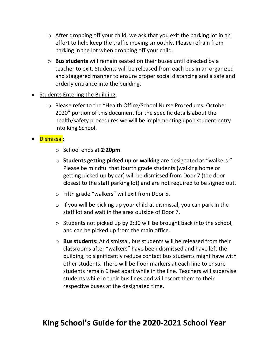- o After dropping off your child, we ask that you exit the parking lot in an effort to help keep the traffic moving smoothly. Please refrain from parking in the lot when dropping off your child.
- o **Bus students** will remain seated on their buses until directed by a teacher to exit. Students will be released from each bus in an organized and staggered manner to ensure proper social distancing and a safe and orderly entrance into the building.

#### • Students Entering the Building:

o Please refer to the "Health Office/School Nurse Procedures: October 2020" portion of this document for the specific details about the health/safety procedures we will be implementing upon student entry into King School.

#### Dismissal:

- o School ends at **2:20pm**.
- o **Students getting picked up or walking** are designated as "walkers." Please be mindful that fourth grade students (walking home or getting picked up by car) will be dismissed from Door 7 (the door closest to the staff parking lot) and are not required to be signed out.
- o Fifth grade "walkers" will exit from Door 5.
- $\circ$  If you will be picking up your child at dismissal, you can park in the staff lot and wait in the area outside of Door 7.
- o Students not picked up by 2:30 will be brought back into the school, and can be picked up from the main office.
- o **Bus students:** At dismissal, bus students will be released from their classrooms after "walkers" have been dismissed and have left the building, to significantly reduce contact bus students might have with other students. There will be floor markers at each line to ensure students remain 6 feet apart while in the line. Teachers will supervise students while in their bus lines and will escort them to their respective buses at the designated time.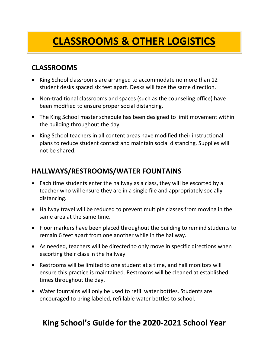# **CLASSROOMS & OTHER LOGISTICS**

# **CLASSROOMS**

- King School classrooms are arranged to accommodate no more than 12 student desks spaced six feet apart. Desks will face the same direction.
- Non-traditional classrooms and spaces (such as the counseling office) have been modified to ensure proper social distancing.
- The King School master schedule has been designed to limit movement within the building throughout the day.
- King School teachers in all content areas have modified their instructional plans to reduce student contact and maintain social distancing. Supplies will not be shared.

# **HALLWAYS/RESTROOMS/WATER FOUNTAINS**

- Each time students enter the hallway as a class, they will be escorted by a teacher who will ensure they are in a single file and appropriately socially distancing.
- Hallway travel will be reduced to prevent multiple classes from moving in the same area at the same time.
- Floor markers have been placed throughout the building to remind students to remain 6 feet apart from one another while in the hallway.
- As needed, teachers will be directed to only move in specific directions when escorting their class in the hallway.
- Restrooms will be limited to one student at a time, and hall monitors will ensure this practice is maintained. Restrooms will be cleaned at established times throughout the day.
- Water fountains will only be used to refill water bottles. Students are encouraged to bring labeled, refillable water bottles to school.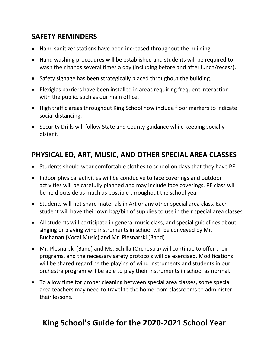## **SAFETY REMINDERS**

- Hand sanitizer stations have been increased throughout the building.
- Hand washing procedures will be established and students will be required to wash their hands several times a day (including before and after lunch/recess).
- Safety signage has been strategically placed throughout the building.
- Plexiglas barriers have been installed in areas requiring frequent interaction with the public, such as our main office.
- High traffic areas throughout King School now include floor markers to indicate social distancing.
- Security Drills will follow State and County guidance while keeping socially distant.

## **PHYSICAL ED, ART, MUSIC, AND OTHER SPECIAL AREA CLASSES**

- Students should wear comfortable clothes to school on days that they have PE.
- Indoor physical activities will be conducive to face coverings and outdoor activities will be carefully planned and may include face coverings. PE class will be held outside as much as possible throughout the school year.
- Students will not share materials in Art or any other special area class. Each student will have their own bag/bin of supplies to use in their special area classes.
- All students will participate in general music class, and special guidelines about singing or playing wind instruments in school will be conveyed by Mr. Buchanan (Vocal Music) and Mr. Plesnarski (Band).
- Mr. Plesnarski (Band) and Ms. Schilla (Orchestra) will continue to offer their programs, and the necessary safety protocols will be exercised. Modifications will be shared regarding the playing of wind instruments and students in our orchestra program will be able to play their instruments in school as normal.
- To allow time for proper cleaning between special area classes, some special area teachers may need to travel to the homeroom classrooms to administer their lessons.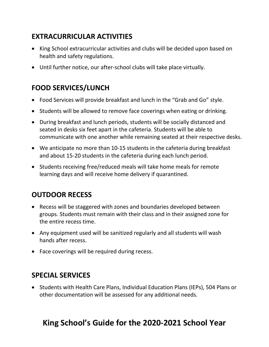# **EXTRACURRICULAR ACTIVITIES**

- King School extracurricular activities and clubs will be decided upon based on health and safety regulations.
- Until further notice, our after-school clubs will take place virtually.

# **FOOD SERVICES/LUNCH**

- Food Services will provide breakfast and lunch in the "Grab and Go" style.
- Students will be allowed to remove face coverings when eating or drinking.
- During breakfast and lunch periods, students will be socially distanced and seated in desks six feet apart in the cafeteria. Students will be able to communicate with one another while remaining seated at their respective desks.
- We anticipate no more than 10-15 students in the cafeteria during breakfast and about 15-20 students in the cafeteria during each lunch period.
- Students receiving free/reduced meals will take home meals for remote learning days and will receive home delivery if quarantined.

#### **OUTDOOR RECESS**

- Recess will be staggered with zones and boundaries developed between groups. Students must remain with their class and in their assigned zone for the entire recess time.
- Any equipment used will be sanitized regularly and all students will wash hands after recess.
- Face coverings will be required during recess.

#### **SPECIAL SERVICES**

 Students with Health Care Plans, Individual Education Plans (IEPs), 504 Plans or other documentation will be assessed for any additional needs.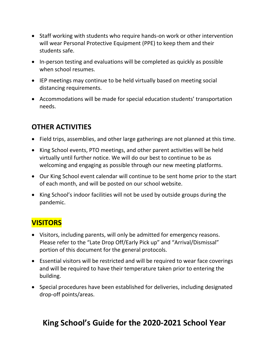- Staff working with students who require hands-on work or other intervention will wear Personal Protective Equipment (PPE) to keep them and their students safe.
- In-person testing and evaluations will be completed as quickly as possible when school resumes.
- IEP meetings may continue to be held virtually based on meeting social distancing requirements.
- Accommodations will be made for special education students' transportation needs.

# **OTHER ACTIVITIES**

- Field trips, assemblies, and other large gatherings are not planned at this time.
- King School events, PTO meetings, and other parent activities will be held virtually until further notice. We will do our best to continue to be as welcoming and engaging as possible through our new meeting platforms.
- Our King School event calendar will continue to be sent home prior to the start of each month, and will be posted on our school website.
- King School's indoor facilities will not be used by outside groups during the pandemic.

# **VISITORS**

- Visitors, including parents, will only be admitted for emergency reasons. Please refer to the "Late Drop Off/Early Pick up" and "Arrival/Dismissal" portion of this document for the general protocols.
- Essential visitors will be restricted and will be required to wear face coverings and will be required to have their temperature taken prior to entering the building.
- Special procedures have been established for deliveries, including designated drop-off points/areas.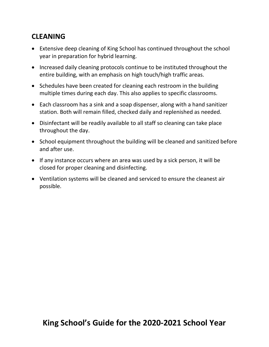# **CLEANING**

- Extensive deep cleaning of King School has continued throughout the school year in preparation for hybrid learning.
- Increased daily cleaning protocols continue to be instituted throughout the entire building, with an emphasis on high touch/high traffic areas.
- Schedules have been created for cleaning each restroom in the building multiple times during each day. This also applies to specific classrooms.
- Each classroom has a sink and a soap dispenser, along with a hand sanitizer station. Both will remain filled, checked daily and replenished as needed.
- Disinfectant will be readily available to all staff so cleaning can take place throughout the day.
- School equipment throughout the building will be cleaned and sanitized before and after use.
- If any instance occurs where an area was used by a sick person, it will be closed for proper cleaning and disinfecting.
- Ventilation systems will be cleaned and serviced to ensure the cleanest air possible.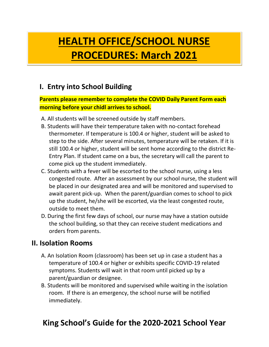# **HEALTH OFFICE/SCHOOL NURSE PROCEDURES: March 2021**

# **I. Entry into School Building**

#### **Parents please remember to complete the COVID Daily Parent Form each morning before your chidl arrives to school.**

- A. All students will be screened outside by staff members.
- B. Students will have their temperature taken with no-contact forehead thermometer. If temperature is 100.4 or higher, student will be asked to step to the side. After several minutes, temperature will be retaken. If it is still 100.4 or higher, student will be sent home according to the district Re-Entry Plan. If student came on a bus, the secretary will call the parent to come pick up the student immediately.
- C. Students with a fever will be escorted to the school nurse, using a less congested route. After an assessment by our school nurse, the student will be placed in our designated area and will be monitored and supervised to await parent pick-up. When the parent/guardian comes to school to pick up the student, he/she will be escorted, via the least congested route, outside to meet them.
- D. During the first few days of school, our nurse may have a station outside the school building, so that they can receive student medications and orders from parents.

#### **II. Isolation Rooms**

- A. An Isolation Room (classroom) has been set up in case a student has a temperature of 100.4 or higher or exhibits specific COVID-19 related symptoms. Students will wait in that room until picked up by a parent/guardian or designee.
- B. Students will be monitored and supervised while waiting in the isolation room. If there is an emergency, the school nurse will be notified immediately.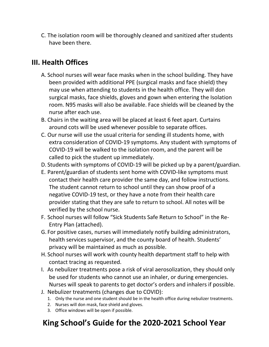C. The isolation room will be thoroughly cleaned and sanitized after students have been there.

#### **III. Health Offices**

- A. School nurses will wear face masks when in the school building. They have been provided with additional PPE (surgical masks and face shield) they may use when attending to students in the health office. They will don surgical masks, face shields, gloves and gown when entering the Isolation room. N95 masks will also be available. Face shields will be cleaned by the nurse after each use.
- B. Chairs in the waiting area will be placed at least 6 feet apart. Curtains around cots will be used whenever possible to separate offices.
- C. Our nurse will use the usual criteria for sending ill students home, with extra consideration of COVID-19 symptoms. Any student with symptoms of COVID-19 will be walked to the isolation room, and the parent will be called to pick the student up immediately.
- D. Students with symptoms of COVID-19 will be picked up by a parent/guardian.
- E. Parent/guardian of students sent home with COVID-like symptoms must contact their health care provider the same day, and follow instructions. The student cannot return to school until they can show proof of a negative COVID-19 test, or they have a note from their health care provider stating that they are safe to return to school. All notes will be verified by the school nurse.
- F. School nurses will follow "Sick Students Safe Return to School" in the Re-Entry Plan (attached).
- G. For positive cases, nurses will immediately notify building administrators, health services supervisor, and the county board of health. Students' privacy will be maintained as much as possible.
- H. School nurses will work with county health department staff to help with contact tracing as requested.
- I. As nebulizer treatments pose a risk of viral aerosolization, they should only be used for students who cannot use an inhaler, or during emergencies. Nurses will speak to parents to get doctor's orders and inhalers if possible.
- J. Nebulizer treatments (changes due to COVID):
	- 1. Only the nurse and one student should be in the health office during nebulizer treatments.
	- 2. Nurses will don mask, face shield and gloves.
	- 3. Office windows will be open if possible.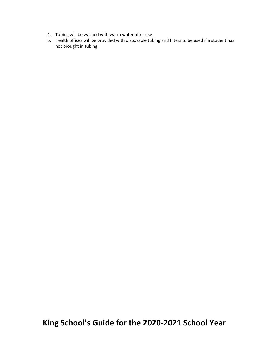- 4. Tubing will be washed with warm water after use.
- 5. Health offices will be provided with disposable tubing and filters to be used if a student has not brought in tubing.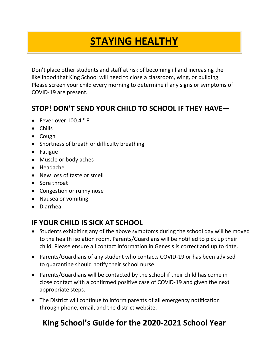# **STAYING HEALTHY**

Don't place other students and staff at risk of becoming ill and increasing the likelihood that King School will need to close a classroom, wing, or building. Please screen your child every morning to determine if any signs or symptoms of COVID-19 are present.

#### **STOP! DON'T SEND YOUR CHILD TO SCHOOL IF THEY HAVE—**

- Fever over 100.4 °F
- Chills
- Cough
- Shortness of breath or difficulty breathing
- Fatigue
- Muscle or body aches
- Headache
- New loss of taste or smell
- Sore throat
- Congestion or runny nose
- Nausea or vomiting
- Diarrhea

## **IF YOUR CHILD IS SICK AT SCHOOL**

- Students exhibiting any of the above symptoms during the school day will be moved to the health isolation room. Parents/Guardians will be notified to pick up their child. Please ensure all contact information in Genesis is correct and up to date.
- Parents/Guardians of any student who contacts COVID-19 or has been advised to quarantine should notify their school nurse.
- Parents/Guardians will be contacted by the school if their child has come in close contact with a confirmed positive case of COVID-19 and given the next appropriate steps.
- The District will continue to inform parents of all emergency notification through phone, email, and the district website.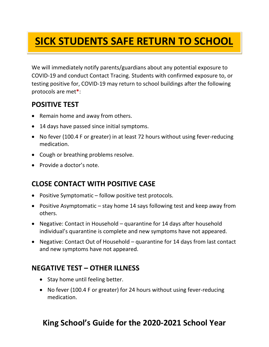#### Ľ **SICK STUDENTS SAFE RETURN TO SCHOOL**

We will immediately notify parents/guardians about any potential exposure to COVID-19 and conduct Contact Tracing. Students with confirmed exposure to, or testing positive for, COVID-19 may return to school buildings after the following protocols are met**\***:

## **POSITIVE TEST**

- Remain home and away from others.
- 14 days have passed since initial symptoms.
- No fever (100.4 F or greater) in at least 72 hours without using fever-reducing medication.
- Cough or breathing problems resolve.
- Provide a doctor's note.

## **CLOSE CONTACT WITH POSITIVE CASE**

- Positive Symptomatic follow positive test protocols.
- Positive Asymptomatic stay home 14 says following test and keep away from others.
- Negative: Contact in Household quarantine for 14 days after household individual's quarantine is complete and new symptoms have not appeared.
- Negative: Contact Out of Household quarantine for 14 days from last contact and new symptoms have not appeared.

#### **NEGATIVE TEST – OTHER ILLNESS**

- Stay home until feeling better.
- No fever (100.4 F or greater) for 24 hours without using fever-reducing medication.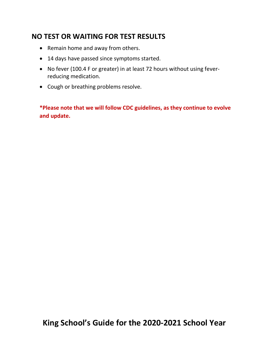#### **NO TEST OR WAITING FOR TEST RESULTS**

- Remain home and away from others.
- 14 days have passed since symptoms started.
- No fever (100.4 F or greater) in at least 72 hours without using feverreducing medication.
- Cough or breathing problems resolve.

**\*Please note that we will follow CDC guidelines, as they continue to evolve and update.**